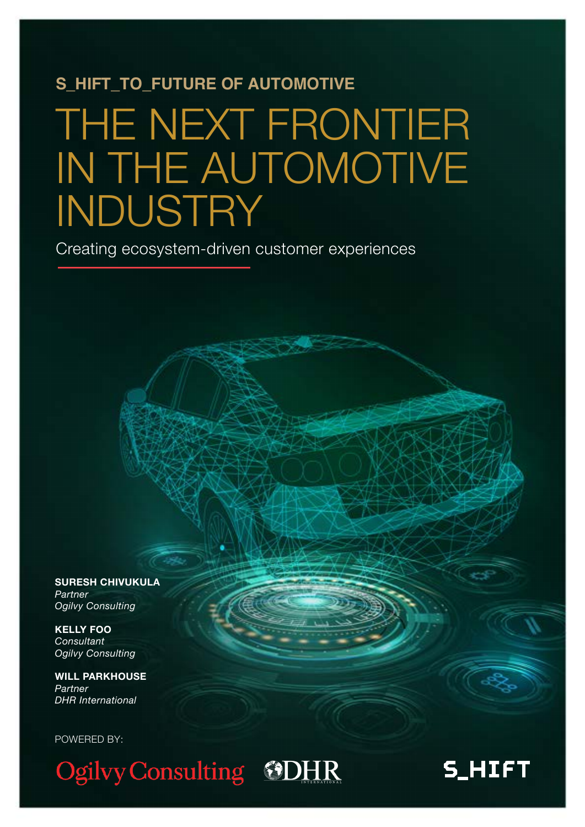## **S\_HIFT\_TO\_FUTURE OF AUTOMOTIVE**

# THE NEXT FRONTIER IN THE AUTOMOTIVE INDUSTRY

Creating ecosystem-driven customer experiences

**SURESH CHIVUKULA** *Partner Ogilvy Consulting*

**KELLY FOO** *Consultant Ogilvy Consulting*

**WILL PARKHOUSE**  *Partner DHR International*

POWERED BY:

Ogilvy Consulting GDHR

## **S\_HIFT**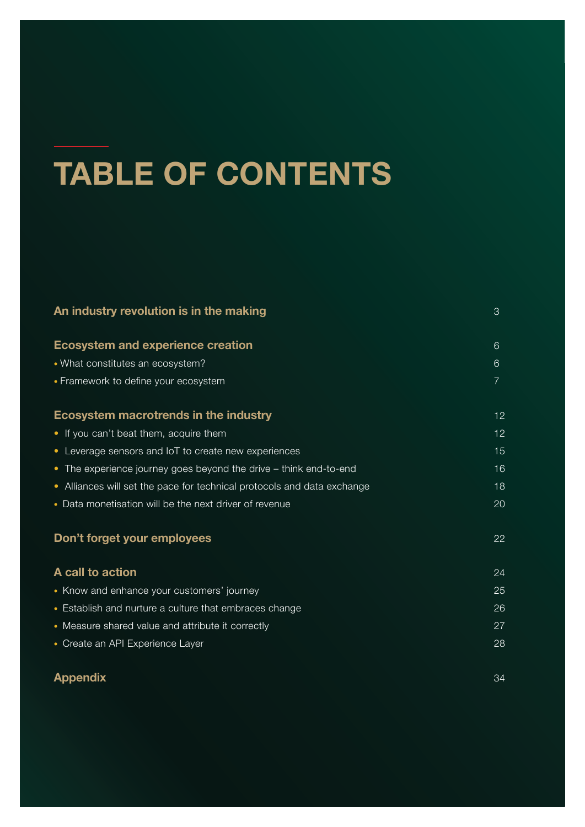# **TABLE OF CONTENTS**

| An industry revolution is in the making                                 | 3  |
|-------------------------------------------------------------------------|----|
| <b>Ecosystem and experience creation</b>                                | 6  |
| • What constitutes an ecosystem?                                        | 6  |
| • Framework to define your ecosystem                                    | 7  |
| Ecosystem macrotrends in the industry                                   | 12 |
| • If you can't beat them, acquire them                                  | 12 |
| • Leverage sensors and IoT to create new experiences                    | 15 |
| • The experience journey goes beyond the drive - think end-to-end       | 16 |
| • Alliances will set the pace for technical protocols and data exchange | 18 |
| • Data monetisation will be the next driver of revenue                  | 20 |
| Don't forget your employees                                             | 22 |
| A call to action                                                        | 24 |
| • Know and enhance your customers' journey                              | 25 |
| • Establish and nurture a culture that embraces change                  | 26 |
| • Measure shared value and attribute it correctly                       | 27 |
| • Create an API Experience Layer                                        | 28 |
| <b>Appendix</b>                                                         | 34 |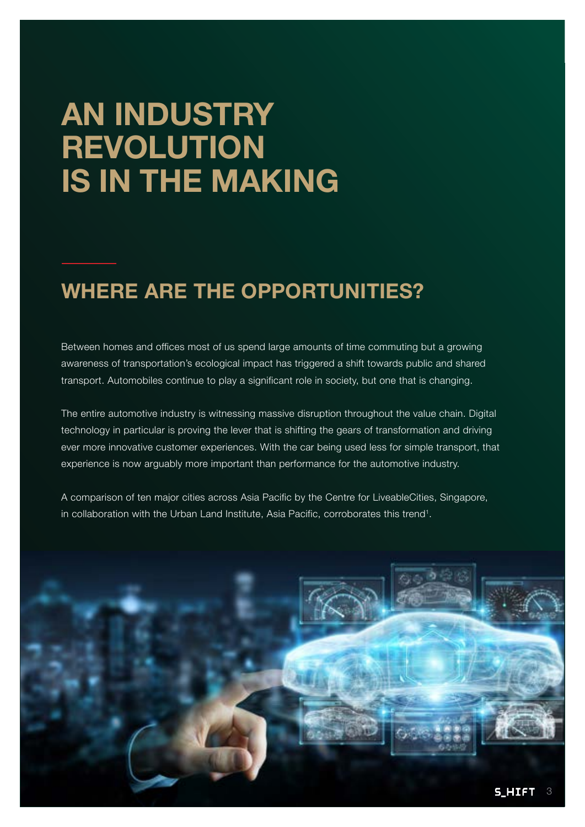# **AN INDUSTRY REVOLUTION IS IN THE MAKING**

## **WHERE ARE THE OPPORTUNITIES?**

Between homes and offices most of us spend large amounts of time commuting but a growing awareness of transportation's ecological impact has triggered a shift towards public and shared transport. Automobiles continue to play a significant role in society, but one that is changing.

The entire automotive industry is witnessing massive disruption throughout the value chain. Digital technology in particular is proving the lever that is shifting the gears of transformation and driving ever more innovative customer experiences. With the car being used less for simple transport, that experience is now arguably more important than performance for the automotive industry.

A comparison of ten major cities across Asia Pacific by the Centre for LiveableCities, Singapore, in collaboration with the Urban Land Institute, Asia Pacific, corroborates this trend<sup>1</sup>.

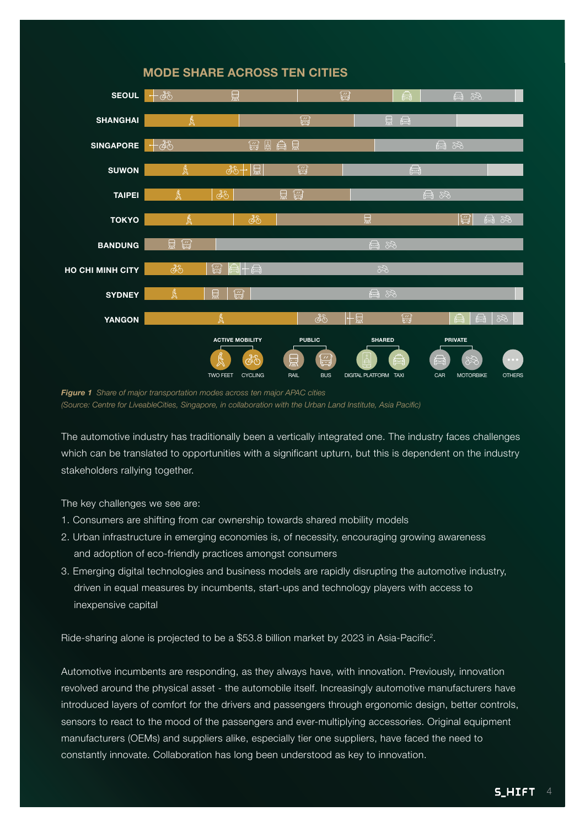

#### **MODE SHARE ACROSS TEN CITIES**

*Figure 1 Share of major transportation modes across ten major APAC cities (Source: Centre for LiveableCities, Singapore, in collaboration with the Urban Land Institute, Asia Pacific)*

The automotive industry has traditionally been a vertically integrated one. The industry faces challenges which can be translated to opportunities with a significant upturn, but this is dependent on the industry stakeholders rallying together.

The key challenges we see are:

- 1. Consumers are shifting from car ownership towards shared mobility models
- 2. Urban infrastructure in emerging economies is, of necessity, encouraging growing awareness and adoption of eco-friendly practices amongst consumers
- 3. Emerging digital technologies and business models are rapidly disrupting the automotive industry, driven in equal measures by incumbents, start-ups and technology players with access to inexpensive capital

Ride-sharing alone is projected to be a \$53.8 billion market by 2023 in Asia-Pacific<sup>2</sup>.

Automotive incumbents are responding, as they always have, with innovation. Previously, innovation revolved around the physical asset - the automobile itself. Increasingly automotive manufacturers have introduced layers of comfort for the drivers and passengers through ergonomic design, better controls, sensors to react to the mood of the passengers and ever-multiplying accessories. Original equipment manufacturers (OEMs) and suppliers alike, especially tier one suppliers, have faced the need to constantly innovate. Collaboration has long been understood as key to innovation.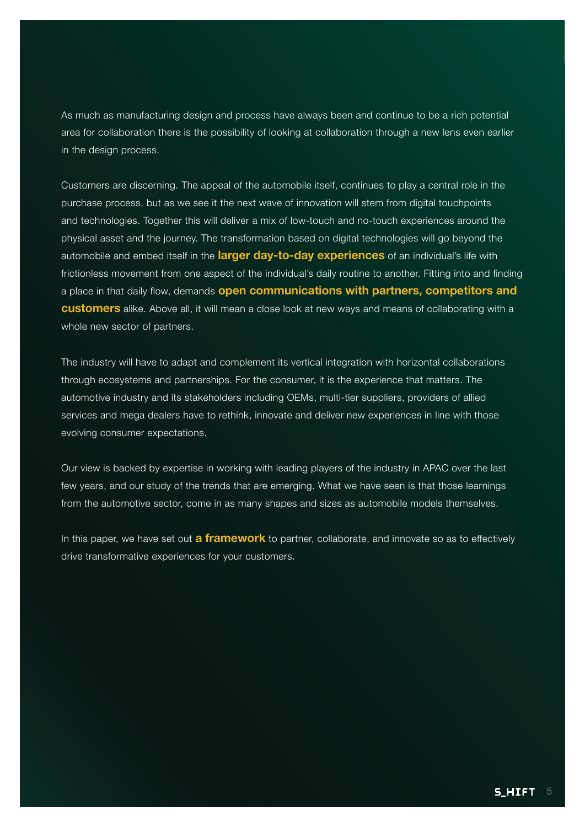As much as manufacturing design and process have always been and continue to be a rich potential area for collaboration there is the possibility of looking at collaboration through a new lens even earlier in the design process.

Customers are discerning. The appeal of the automobile itself, continues to play a central role in the purchase process, but as we see it the next wave of innovation will stem from digital touchpoints and technologies. Together this will deliver a mix of low-touch and no-touch experiences around the physical asset and the journey. The transformation based on digital technologies will go beyond the automobile and embed itself in the **larger day-to-day experiences** of an individual's life with frictionless movement from one aspect of the individual's daily routine to another. Fitting into and finding a place in that daily flow, demands **open communications with partners, competitors and customers** alike. Above all, it will mean a close look at new ways and means of collaborating with a whole new sector of partners.

The industry will have to adapt and complement its vertical integration with horizontal collaborations through ecosystems and partnerships. For the consumer, it is the experience that matters. The automotive industry and its stakeholders including OEMs, multi-tier suppliers, providers of allied services and mega dealers have to rethink, innovate and deliver new experiences in line with those evolving consumer expectations.

Our view is backed by expertise in working with leading players of the industry in APAC over the last few years, and our study of the trends that are emerging. What we have seen is that those learnings from the automotive sector, come in as many shapes and sizes as automobile models themselves.

In this paper, we have set out **a framework** to partner, collaborate, and innovate so as to effectively drive transformative experiences for your customers.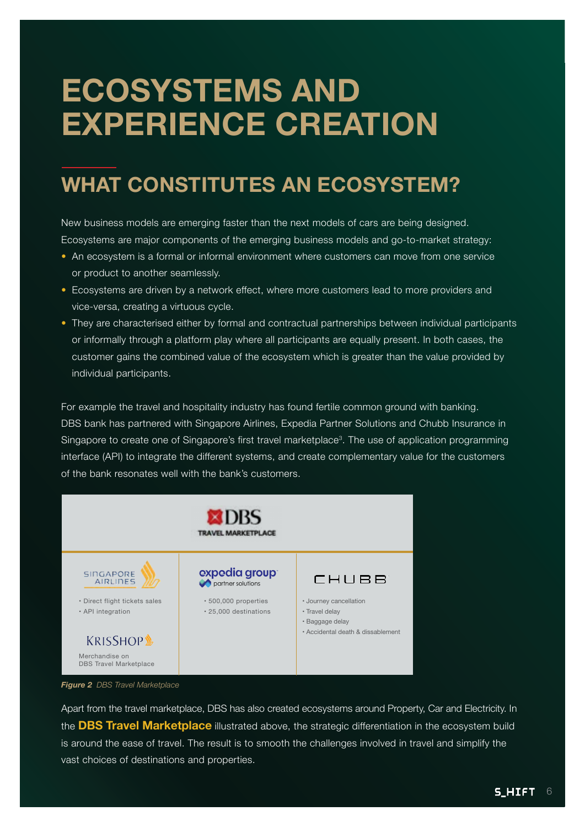# **ECOSYSTEMS AND EXPERIENCE CREATION**

## **WHAT CONSTITUTES AN ECOSYSTEM?**

New business models are emerging faster than the next models of cars are being designed. Ecosystems are major components of the emerging business models and go-to-market strategy:

- An ecosystem is a formal or informal environment where customers can move from one service or product to another seamlessly.
- Ecosystems are driven by a network effect, where more customers lead to more providers and vice-versa, creating a virtuous cycle.
- They are characterised either by formal and contractual partnerships between individual participants or informally through a platform play where all participants are equally present. In both cases, the customer gains the combined value of the ecosystem which is greater than the value provided by individual participants.

For example the travel and hospitality industry has found fertile common ground with banking. DBS bank has partnered with Singapore Airlines, Expedia Partner Solutions and Chubb Insurance in Singapore to create one of Singapore's first travel marketplace<sup>3</sup>. The use of application programming interface (API) to integrate the different systems, and create complementary value for the customers of the bank resonates well with the bank's customers.



Apart from the travel marketplace, DBS has also created ecosystems around Property, Car and Electricity. In the **DBS Travel Marketplace** illustrated above, the strategic differentiation in the ecosystem build is around the ease of travel. The result is to smooth the challenges involved in travel and simplify the vast choices of destinations and properties.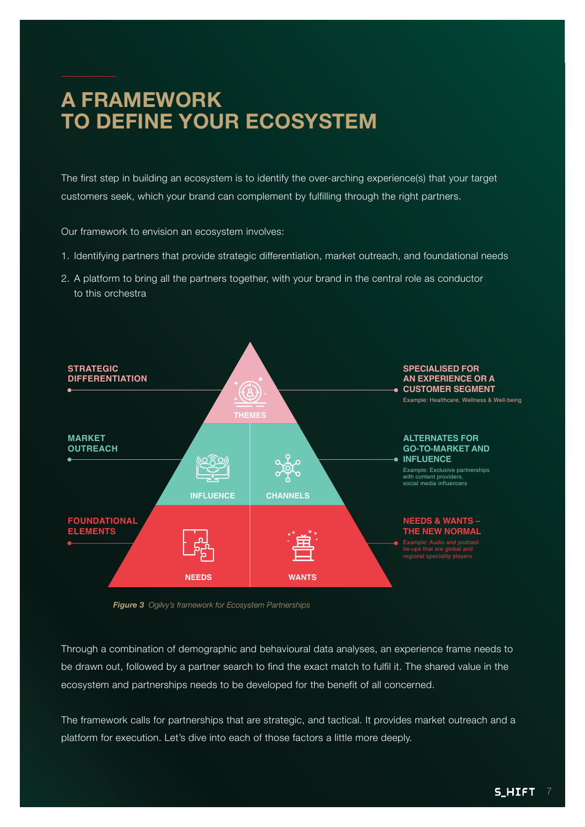## **A FRAMEWORK TO DEFINE YOUR ECOSYSTEM**

The first step in building an ecosystem is to identify the over-arching experience(s) that your target customers seek, which your brand can complement by fulfilling through the right partners.

Our framework to envision an ecosystem involves:

- 1. Identifying partners that provide strategic differentiation, market outreach, and foundational needs
- 2. A platform to bring all the partners together, with your brand in the central role as conductor to this orchestra



*Figure 3 Ogilvy's framework for Ecosystem Partnerships*

Through a combination of demographic and behavioural data analyses, an experience frame needs to be drawn out, followed by a partner search to find the exact match to fulfil it. The shared value in the ecosystem and partnerships needs to be developed for the benefit of all concerned.

The framework calls for partnerships that are strategic, and tactical. It provides market outreach and a platform for execution. Let's dive into each of those factors a little more deeply.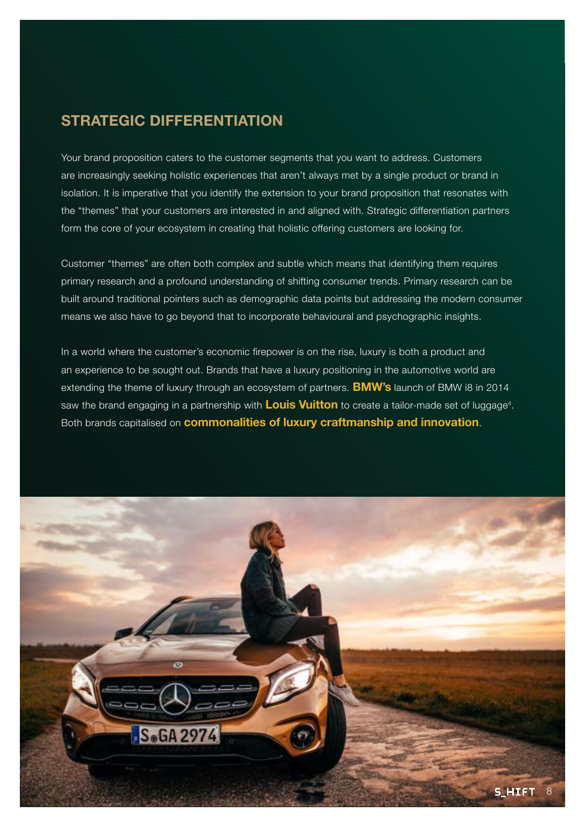#### **STRATEGIC DIFFERENTIATION**

Your brand proposition caters to the customer segments that you want to address. Customers are increasingly seeking holistic experiences that aren't always met by a single product or brand in isolation. It is imperative that you identify the extension to your brand proposition that resonates with the "themes" that your customers are interested in and aligned with. Strategic differentiation partners form the core of your ecosystem in creating that holistic offering customers are looking for.

Customer "themes" are often both complex and subtle which means that identifying them requires primary research and a profound understanding of shifting consumer trends. Primary research can be built around traditional pointers such as demographic data points but addressing the modern consumer means we also have to go beyond that to incorporate behavioural and psychographic insights.

In a world where the customer's economic firepower is on the rise, luxury is both a product and an experience to be sought out. Brands that have a luxury positioning in the automotive world are extending the theme of luxury through an ecosystem of partners. **BMW's** launch of BMW i8 in 2014 saw the brand engaging in a partnership with **Louis Vuitton** to create a tailor-made set of luggage<sup>4</sup>. Both brands capitalised on **commonalities of luxury craftmanship and innovation**.

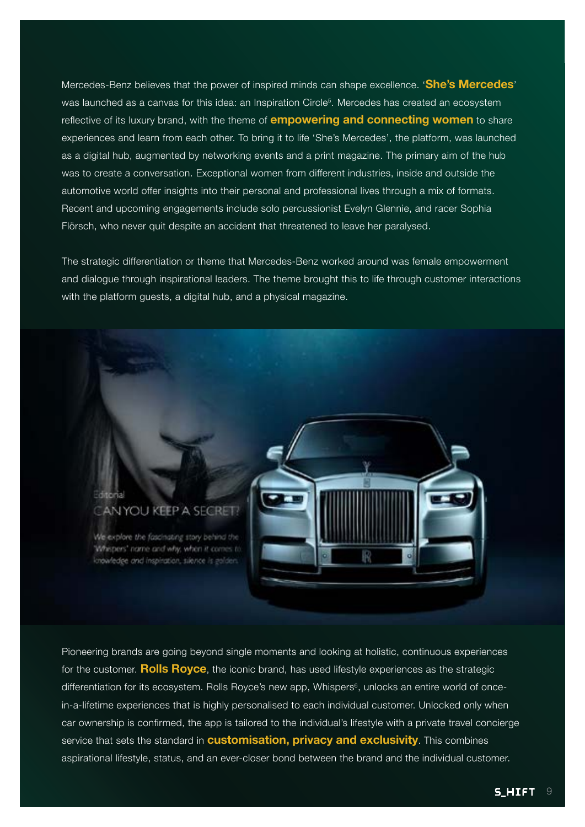Mercedes-Benz believes that the power of inspired minds can shape excellence. '**She's Mercedes**' was launched as a canvas for this idea: an Inspiration Circle<sup>5</sup>. Mercedes has created an ecosystem reflective of its luxury brand, with the theme of **empowering and connecting women** to share experiences and learn from each other. To bring it to life 'She's Mercedes', the platform, was launched as a digital hub, augmented by networking events and a print magazine. The primary aim of the hub was to create a conversation. Exceptional women from different industries, inside and outside the automotive world offer insights into their personal and professional lives through a mix of formats. Recent and upcoming engagements include solo percussionist Evelyn Glennie, and racer Sophia Flörsch, who never quit despite an accident that threatened to leave her paralysed.

The strategic differentiation or theme that Mercedes-Benz worked around was female empowerment and dialogue through inspirational leaders. The theme brought this to life through customer interactions with the platform guests, a digital hub, and a physical magazine.



Pioneering brands are going beyond single moments and looking at holistic, continuous experiences for the customer. **Rolls Royce**, the iconic brand, has used lifestyle experiences as the strategic differentiation for its ecosystem. Rolls Royce's new app, Whispers<sup>6</sup>, unlocks an entire world of oncein-a-lifetime experiences that is highly personalised to each individual customer. Unlocked only when car ownership is confirmed, the app is tailored to the individual's lifestyle with a private travel concierge service that sets the standard in **customisation, privacy and exclusivity**. This combines aspirational lifestyle, status, and an ever-closer bond between the brand and the individual customer.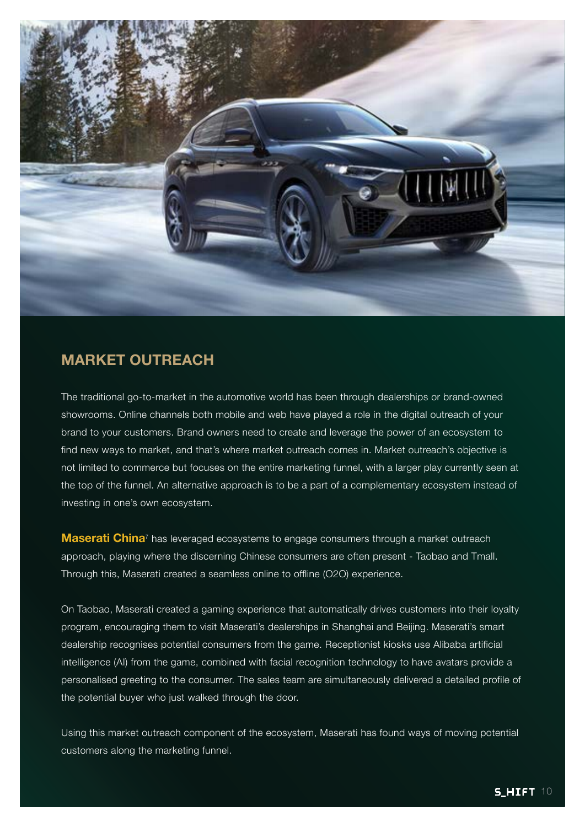

#### **MARKET OUTREACH**

The traditional go-to-market in the automotive world has been through dealerships or brand-owned showrooms. Online channels both mobile and web have played a role in the digital outreach of your brand to your customers. Brand owners need to create and leverage the power of an ecosystem to find new ways to market, and that's where market outreach comes in. Market outreach's objective is not limited to commerce but focuses on the entire marketing funnel, with a larger play currently seen at the top of the funnel. An alternative approach is to be a part of a complementary ecosystem instead of investing in one's own ecosystem.

**Maserati China**<sup>7</sup> has leveraged ecosystems to engage consumers through a market outreach approach, playing where the discerning Chinese consumers are often present - Taobao and Tmall. Through this, Maserati created a seamless online to offline (O2O) experience.

On Taobao, Maserati created a gaming experience that automatically drives customers into their loyalty program, encouraging them to visit Maserati's dealerships in Shanghai and Beijing. Maserati's smart dealership recognises potential consumers from the game. Receptionist kiosks use Alibaba artificial intelligence (AI) from the game, combined with facial recognition technology to have avatars provide a personalised greeting to the consumer. The sales team are simultaneously delivered a detailed profile of the potential buyer who just walked through the door.

Using this market outreach component of the ecosystem, Maserati has found ways of moving potential customers along the marketing funnel.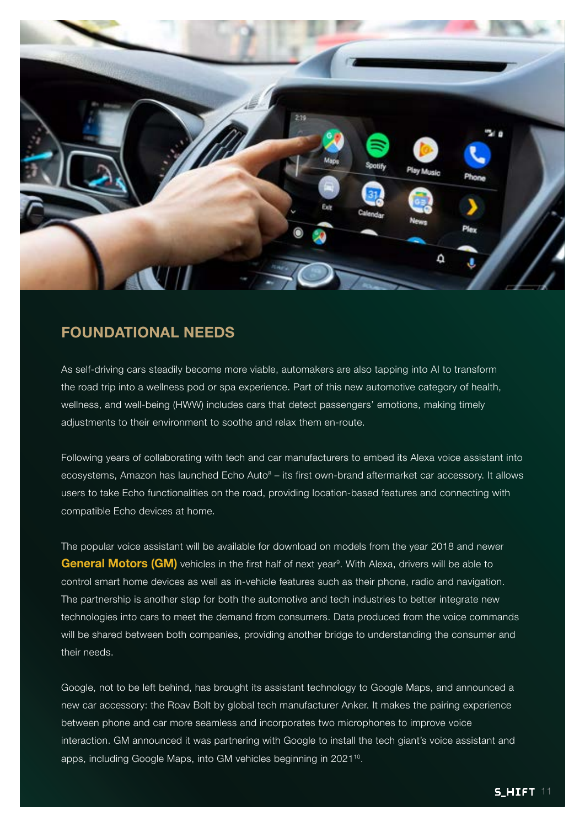

#### **FOUNDATIONAL NEEDS**

As self-driving cars steadily become more viable, automakers are also tapping into AI to transform the road trip into a wellness pod or spa experience. Part of this new automotive category of health, wellness, and well-being (HWW) includes cars that detect passengers' emotions, making timely adjustments to their environment to soothe and relax them en-route.

Following years of collaborating with tech and car manufacturers to embed its Alexa voice assistant into ecosystems, Amazon has launched Echo Auto $8 -$  its first own-brand aftermarket car accessory. It allows users to take Echo functionalities on the road, providing location-based features and connecting with compatible Echo devices at home.

The popular voice assistant will be available for download on models from the year 2018 and newer General Motors (GM) vehicles in the first half of next year<sup>9</sup>. With Alexa, drivers will be able to control smart home devices as well as in-vehicle features such as their phone, radio and navigation. The partnership is another step for both the automotive and tech industries to better integrate new technologies into cars to meet the demand from consumers. Data produced from the voice commands will be shared between both companies, providing another bridge to understanding the consumer and their needs.

Google, not to be left behind, has brought its assistant technology to Google Maps, and announced a new car accessory: the Roav Bolt by global tech manufacturer Anker. It makes the pairing experience between phone and car more seamless and incorporates two microphones to improve voice interaction. GM announced it was partnering with Google to install the tech giant's voice assistant and apps, including Google Maps, into GM vehicles beginning in 2021<sup>10</sup>.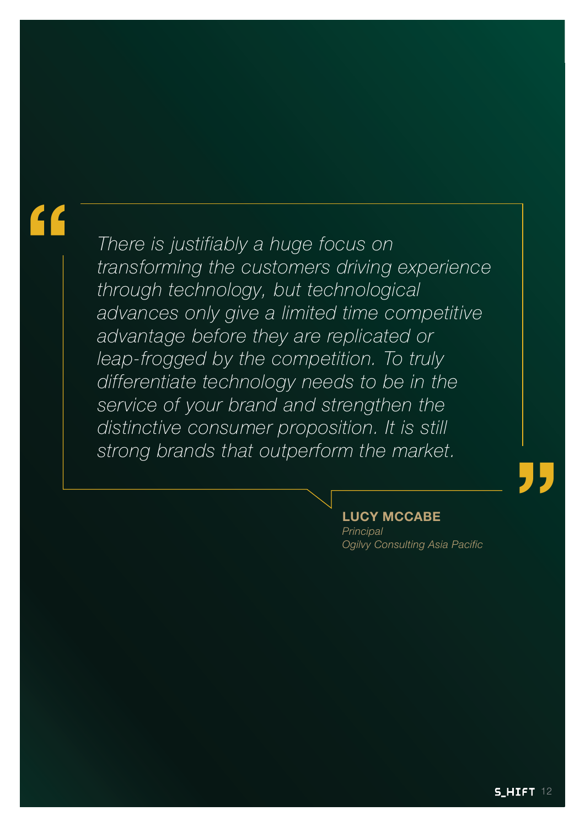# **"**

*There is justifiably a huge focus on transforming the customers driving experience through technology, but technological advances only give a limited time competitive advantage before they are replicated or leap-frogged by the competition. To truly differentiate technology needs to be in the service of your brand and strengthen the distinctive consumer proposition. It is still strong brands that outperform the market.*

#### **LUCY MCCABE**

*Principal Ogilvy Consulting Asia Pacific* **"**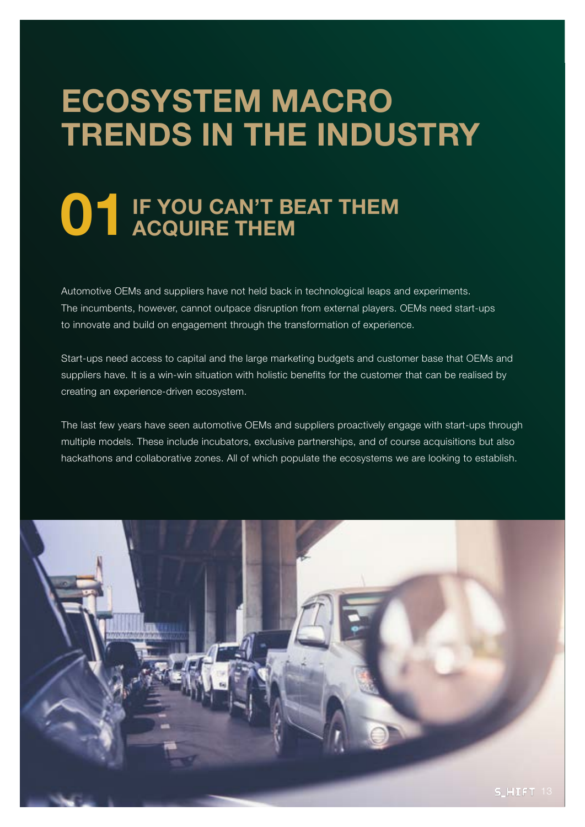# **ECOSYSTEM MACRO TRENDS IN THE INDUSTRY**

# **01** IF YOU CAN'T BEAT THEM ACQUIRE THEM **ACQUIRE THEM**

Automotive OEMs and suppliers have not held back in technological leaps and experiments. The incumbents, however, cannot outpace disruption from external players. OEMs need start-ups to innovate and build on engagement through the transformation of experience.

Start-ups need access to capital and the large marketing budgets and customer base that OEMs and suppliers have. It is a win-win situation with holistic benefits for the customer that can be realised by creating an experience-driven ecosystem.

The last few years have seen automotive OEMs and suppliers proactively engage with start-ups through multiple models. These include incubators, exclusive partnerships, and of course acquisitions but also hackathons and collaborative zones. All of which populate the ecosystems we are looking to establish.

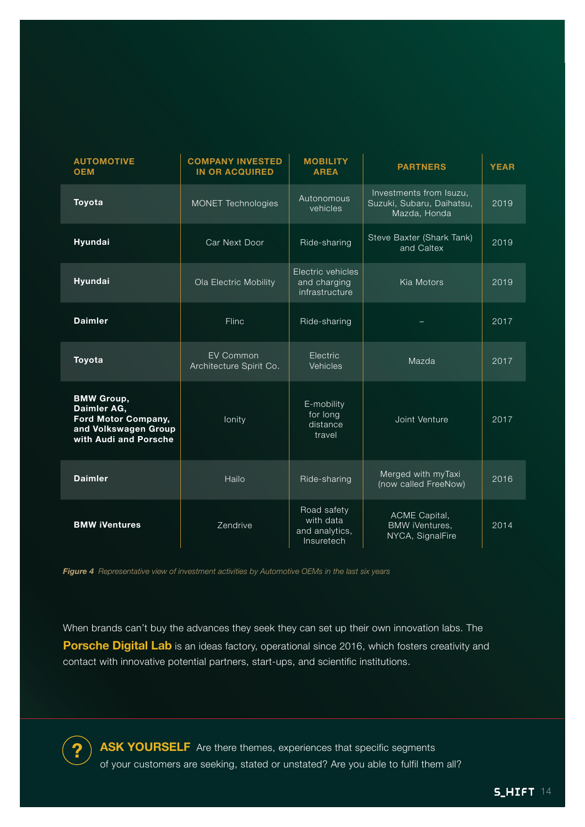| <b>AUTOMOTIVE</b><br><b>OEM</b>                                                                          | <b>COMPANY INVESTED</b><br><b>IN OR ACQUIRED</b> | <b>MOBILITY</b><br><b>AREA</b>                           | <b>PARTNERS</b>                                                      | <b>YEAR</b> |
|----------------------------------------------------------------------------------------------------------|--------------------------------------------------|----------------------------------------------------------|----------------------------------------------------------------------|-------------|
| Toyota                                                                                                   | <b>MONET Technologies</b>                        | Autonomous<br>vehicles                                   | Investments from Isuzu,<br>Suzuki, Subaru, Daihatsu,<br>Mazda, Honda | 2019        |
| Hyundai                                                                                                  | Car Next Door                                    | Ride-sharing                                             | Steve Baxter (Shark Tank)<br>and Caltex                              | 2019        |
| Hyundai                                                                                                  | Ola Electric Mobility                            | Electric vehicles<br>and charging<br>infrastructure      | Kia Motors                                                           | 2019        |
| <b>Daimler</b>                                                                                           | Flinc                                            | Ride-sharing                                             |                                                                      | 2017        |
| Toyota                                                                                                   | <b>EV Common</b><br>Architecture Spirit Co.      | Electric<br>Vehicles                                     | Mazda                                                                | 2017        |
| <b>BMW Group,</b><br>Daimler AG,<br>Ford Motor Company,<br>and Volkswagen Group<br>with Audi and Porsche | lonity                                           | E-mobility<br>for long<br>distance<br>travel             | Joint Venture                                                        | 2017        |
| <b>Daimler</b>                                                                                           | Hailo                                            | Ride-sharing                                             | Merged with myTaxi<br>(now called FreeNow)                           | 2016        |
| <b>BMW iVentures</b>                                                                                     | Zendrive                                         | Road safety<br>with data<br>and analytics,<br>Insuretech | ACME Capital,<br><b>BMW iVentures,</b><br>NYCA, SignalFire           | 2014        |

*Figure 4 Representative view of investment activities by Automotive OEMs in the last six years*

**?**

When brands can't buy the advances they seek they can set up their own innovation labs. The **Porsche Digital Lab** is an ideas factory, operational since 2016, which fosters creativity and contact with innovative potential partners, start-ups, and scientific institutions.

ASK YOURSELF Are there themes, experiences that specific segments of your customers are seeking, stated or unstated? Are you able to fulfil them all?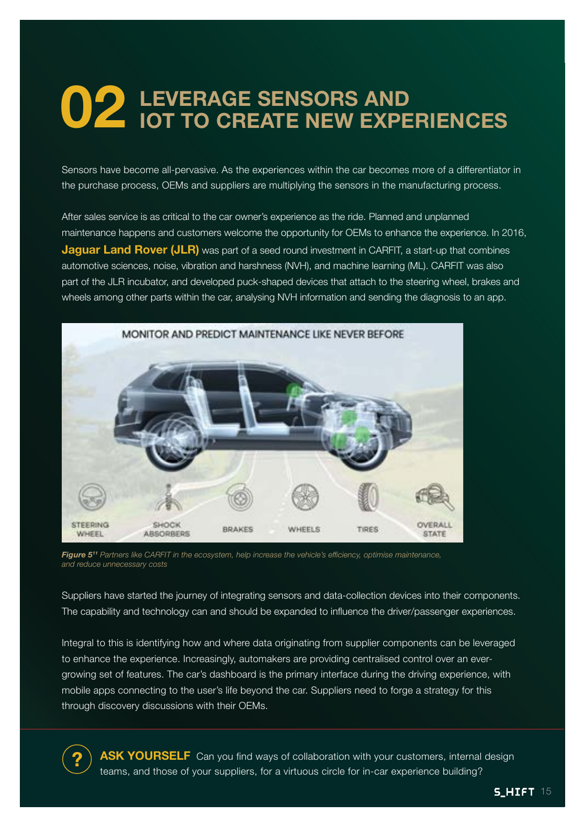# **02 LEVERAGE SENSORS AND IOT TO CREATE NEW EXPERIENCES**

Sensors have become all-pervasive. As the experiences within the car becomes more of a differentiator in the purchase process, OEMs and suppliers are multiplying the sensors in the manufacturing process.

After sales service is as critical to the car owner's experience as the ride. Planned and unplanned maintenance happens and customers welcome the opportunity for OEMs to enhance the experience. In 2016, **Jaguar Land Rover (JLR)** was part of a seed round investment in CARFIT, a start-up that combines automotive sciences, noise, vibration and harshness (NVH), and machine learning (ML). CARFIT was also part of the JLR incubator, and developed puck-shaped devices that attach to the steering wheel, brakes and wheels among other parts within the car, analysing NVH information and sending the diagnosis to an app.



*Figure 511 Partners like CARFIT in the ecosystem, help increase the vehicle's efficiency, optimise maintenance, and reduce unnecessary costs*

**?**

Suppliers have started the journey of integrating sensors and data-collection devices into their components. The capability and technology can and should be expanded to influence the driver/passenger experiences.

Integral to this is identifying how and where data originating from supplier components can be leveraged to enhance the experience. Increasingly, automakers are providing centralised control over an evergrowing set of features. The car's dashboard is the primary interface during the driving experience, with mobile apps connecting to the user's life beyond the car. Suppliers need to forge a strategy for this through discovery discussions with their OEMs.

**ASK YOURSELF** Can you find ways of collaboration with your customers, internal design teams, and those of your suppliers, for a virtuous circle for in-car experience building?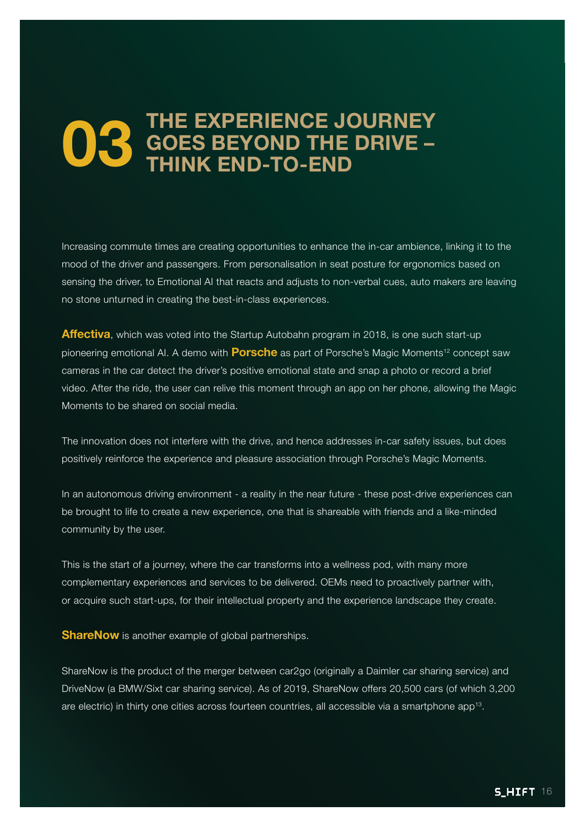## **03** THE EXPERIENCE JOURNEY<br>
THINK END-TO-END **GOES BEYOND THE DRIVE – THINK END-TO-END**

Increasing commute times are creating opportunities to enhance the in-car ambience, linking it to the mood of the driver and passengers. From personalisation in seat posture for ergonomics based on sensing the driver, to Emotional AI that reacts and adjusts to non-verbal cues, auto makers are leaving no stone unturned in creating the best-in-class experiences.

**Affectiva**, which was voted into the Startup Autobahn program in 2018, is one such start-up pioneering emotional AI. A demo with **Porsche** as part of Porsche's Magic Moments<sup>12</sup> concept saw cameras in the car detect the driver's positive emotional state and snap a photo or record a brief video. After the ride, the user can relive this moment through an app on her phone, allowing the Magic Moments to be shared on social media.

The innovation does not interfere with the drive, and hence addresses in-car safety issues, but does positively reinforce the experience and pleasure association through Porsche's Magic Moments.

In an autonomous driving environment - a reality in the near future - these post-drive experiences can be brought to life to create a new experience, one that is shareable with friends and a like-minded community by the user.

This is the start of a journey, where the car transforms into a wellness pod, with many more complementary experiences and services to be delivered. OEMs need to proactively partner with, or acquire such start-ups, for their intellectual property and the experience landscape they create.

**ShareNow** is another example of global partnerships.

ShareNow is the product of the merger between car2go (originally a Daimler car sharing service) and DriveNow (a BMW/Sixt car sharing service). As of 2019, ShareNow offers 20,500 cars (of which 3,200 are electric) in thirty one cities across fourteen countries, all accessible via a smartphone app13.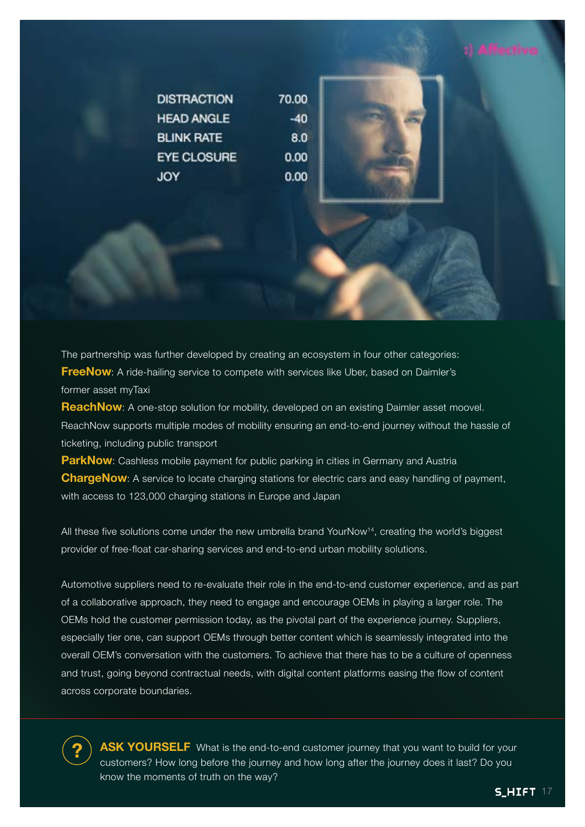| <b>DISTRACTION</b> | 70.00 |  |
|--------------------|-------|--|
| <b>HEAD ANGLE</b>  | -40   |  |
| <b>BLINK RATE</b>  | 8.0   |  |
| <b>EYE CLOSURE</b> | 0.00  |  |
| JOY                | 0.00  |  |

The partnership was further developed by creating an ecosystem in four other categories: **FreeNow**: A ride-hailing service to compete with services like Uber, based on Daimler's former asset myTaxi

**ReachNow**: A one-stop solution for mobility, developed on an existing Daimler asset moovel. ReachNow supports multiple modes of mobility ensuring an end-to-end journey without the hassle of ticketing, including public transport

**ParkNow**: Cashless mobile payment for public parking in cities in Germany and Austria **ChargeNow**: A service to locate charging stations for electric cars and easy handling of payment, with access to 123,000 charging stations in Europe and Japan

All these five solutions come under the new umbrella brand YourNow<sup>14</sup>, creating the world's biggest provider of free-float car-sharing services and end-to-end urban mobility solutions.

Automotive suppliers need to re-evaluate their role in the end-to-end customer experience, and as part of a collaborative approach, they need to engage and encourage OEMs in playing a larger role. The OEMs hold the customer permission today, as the pivotal part of the experience journey. Suppliers, especially tier one, can support OEMs through better content which is seamlessly integrated into the overall OEM's conversation with the customers. To achieve that there has to be a culture of openness and trust, going beyond contractual needs, with digital content platforms easing the flow of content across corporate boundaries.

**ASK YOURSELF** What is the end-to-end customer journey that you want to build for your customers? How long before the journey and how long after the journey does it last? Do you know the moments of truth on the way?

**?**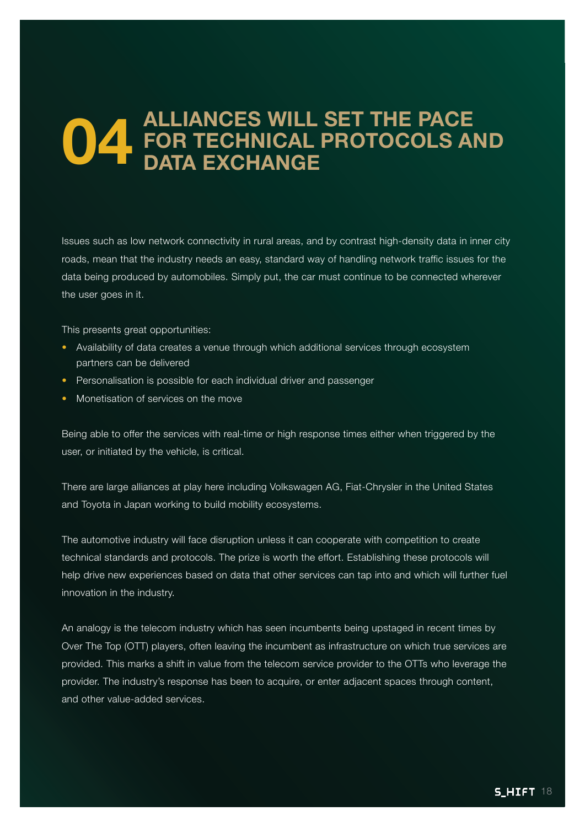## **04** ALLIANCES WILL SET THE PACE<br>DATA EXCHANGE<br>DATA EXCHANGE **FOR TECHNICAL PROTOCOLS AND DATA EXCHANGE**

Issues such as low network connectivity in rural areas, and by contrast high-density data in inner city roads, mean that the industry needs an easy, standard way of handling network traffic issues for the data being produced by automobiles. Simply put, the car must continue to be connected wherever the user goes in it.

This presents great opportunities:

- Availability of data creates a venue through which additional services through ecosystem partners can be delivered
- Personalisation is possible for each individual driver and passenger
- Monetisation of services on the move

Being able to offer the services with real-time or high response times either when triggered by the user, or initiated by the vehicle, is critical.

There are large alliances at play here including Volkswagen AG, Fiat-Chrysler in the United States and Toyota in Japan working to build mobility ecosystems.

The automotive industry will face disruption unless it can cooperate with competition to create technical standards and protocols. The prize is worth the effort. Establishing these protocols will help drive new experiences based on data that other services can tap into and which will further fuel innovation in the industry.

An analogy is the telecom industry which has seen incumbents being upstaged in recent times by Over The Top (OTT) players, often leaving the incumbent as infrastructure on which true services are provided. This marks a shift in value from the telecom service provider to the OTTs who leverage the provider. The industry's response has been to acquire, or enter adjacent spaces through content, and other value-added services.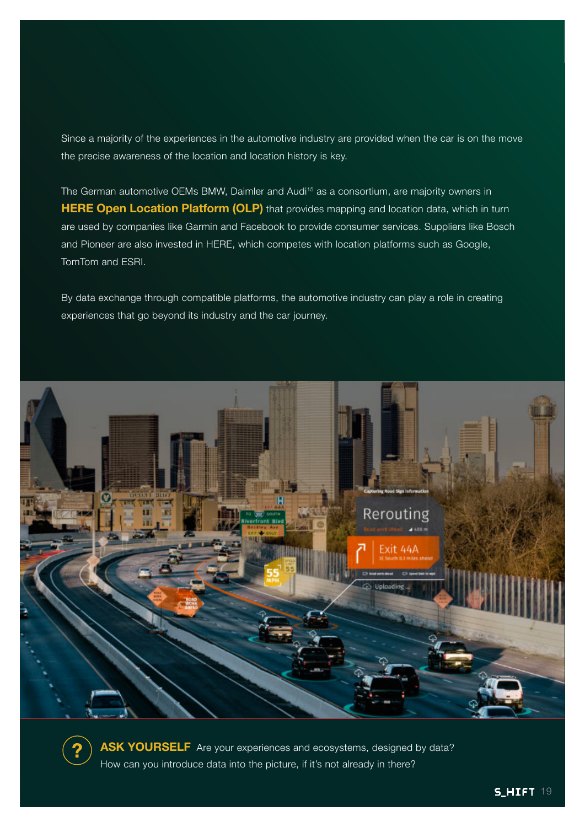Since a majority of the experiences in the automotive industry are provided when the car is on the move the precise awareness of the location and location history is key.

The German automotive OEMs BMW, Daimler and Audi<sup>15</sup> as a consortium, are majority owners in **HERE Open Location Platform (OLP)** that provides mapping and location data, which in turn are used by companies like Garmin and Facebook to provide consumer services. Suppliers like Bosch and Pioneer are also invested in HERE, which competes with location platforms such as Google, TomTom and ESRI.

By data exchange through compatible platforms, the automotive industry can play a role in creating experiences that go beyond its industry and the car journey.



**ASK YOURSELF** Are your experiences and ecosystems, designed by data? How can you introduce data into the picture, if it's not already in there?

**?**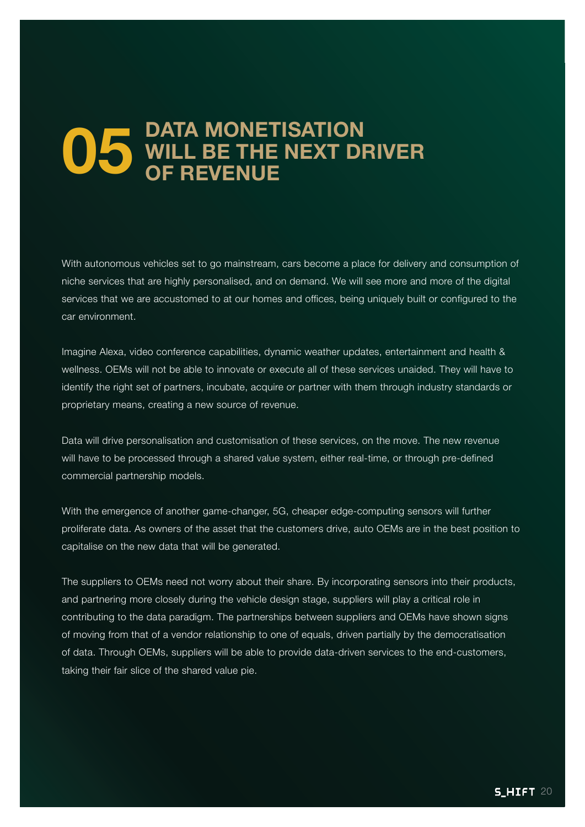## **05** DATA MONETISATION<br>OF REVENUE **WILL BE THE NEXT DRIVER OF REVENUE**

With autonomous vehicles set to go mainstream, cars become a place for delivery and consumption of niche services that are highly personalised, and on demand. We will see more and more of the digital services that we are accustomed to at our homes and offices, being uniquely built or configured to the car environment.

Imagine Alexa, video conference capabilities, dynamic weather updates, entertainment and health & wellness. OEMs will not be able to innovate or execute all of these services unaided. They will have to identify the right set of partners, incubate, acquire or partner with them through industry standards or proprietary means, creating a new source of revenue.

Data will drive personalisation and customisation of these services, on the move. The new revenue will have to be processed through a shared value system, either real-time, or through pre-defined commercial partnership models.

With the emergence of another game-changer, 5G, cheaper edge-computing sensors will further proliferate data. As owners of the asset that the customers drive, auto OEMs are in the best position to capitalise on the new data that will be generated.

The suppliers to OEMs need not worry about their share. By incorporating sensors into their products, and partnering more closely during the vehicle design stage, suppliers will play a critical role in contributing to the data paradigm. The partnerships between suppliers and OEMs have shown signs of moving from that of a vendor relationship to one of equals, driven partially by the democratisation of data. Through OEMs, suppliers will be able to provide data-driven services to the end-customers, taking their fair slice of the shared value pie.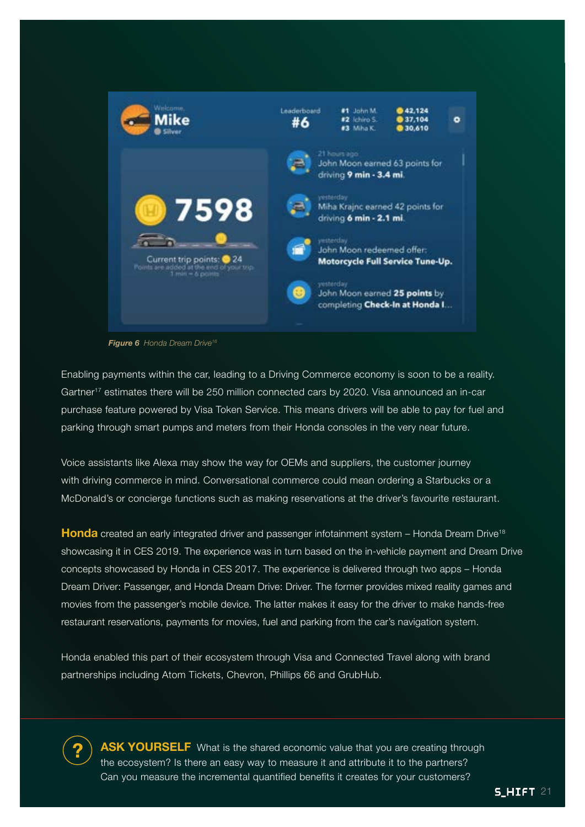

*Figure 6 Honda Dream Drive16*

**?**

Enabling payments within the car, leading to a Driving Commerce economy is soon to be a reality. Gartner<sup>17</sup> estimates there will be 250 million connected cars by 2020. Visa announced an in-car purchase feature powered by Visa Token Service. This means drivers will be able to pay for fuel and parking through smart pumps and meters from their Honda consoles in the very near future.

Voice assistants like Alexa may show the way for OEMs and suppliers, the customer journey with driving commerce in mind. Conversational commerce could mean ordering a Starbucks or a McDonald's or concierge functions such as making reservations at the driver's favourite restaurant.

**Honda** created an early integrated driver and passenger infotainment system – Honda Dream Drive<sup>18</sup> showcasing it in CES 2019. The experience was in turn based on the in-vehicle payment and Dream Drive concepts showcased by Honda in CES 2017. The experience is delivered through two apps – Honda Dream Driver: Passenger, and Honda Dream Drive: Driver. The former provides mixed reality games and movies from the passenger's mobile device. The latter makes it easy for the driver to make hands-free restaurant reservations, payments for movies, fuel and parking from the car's navigation system.

Honda enabled this part of their ecosystem through Visa and Connected Travel along with brand partnerships including Atom Tickets, Chevron, Phillips 66 and GrubHub.

**ASK YOURSELF** What is the shared economic value that you are creating through the ecosystem? Is there an easy way to measure it and attribute it to the partners? Can you measure the incremental quantified benefits it creates for your customers?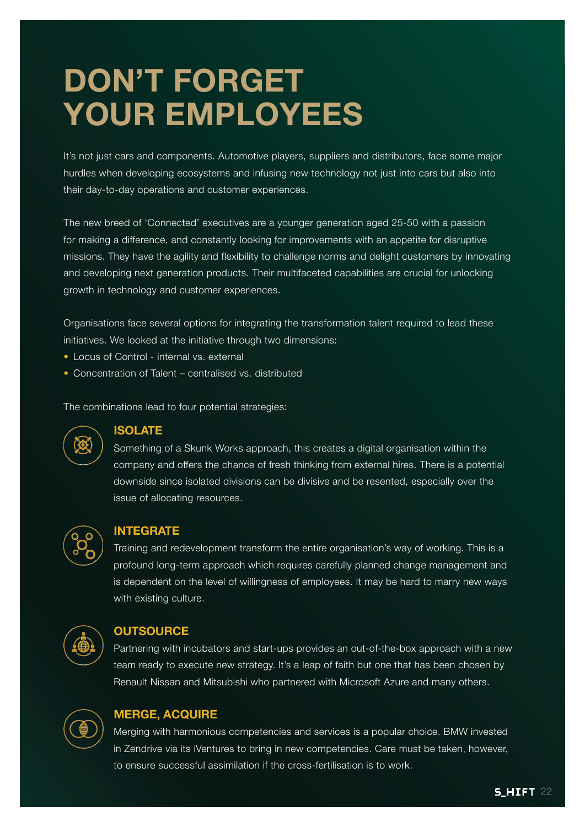# **DON'T FORGET YOUR EMPLOYEES**

It's not just cars and components. Automotive players, suppliers and distributors, face some major hurdles when developing ecosystems and infusing new technology not just into cars but also into their day-to-day operations and customer experiences.

The new breed of 'Connected' executives are a younger generation aged 25-50 with a passion for making a difference, and constantly looking for improvements with an appetite for disruptive missions. They have the agility and flexibility to challenge norms and delight customers by innovating and developing next generation products. Their multifaceted capabilities are crucial for unlocking growth in technology and customer experiences.

Organisations face several options for integrating the transformation talent required to lead these initiatives. We looked at the initiative through two dimensions:

- Locus of Control internal vs. external
- Concentration of Talent centralised vs. distributed

The combinations lead to four potential strategies:



#### **ISOLATE**

Something of a Skunk Works approach, this creates a digital organisation within the company and offers the chance of fresh thinking from external hires. There is a potential downside since isolated divisions can be divisive and be resented, especially over the issue of allocating resources.



#### **INTEGRATE**

Training and redevelopment transform the entire organisation's way of working. This is a profound long-term approach which requires carefully planned change management and is dependent on the level of willingness of employees. It may be hard to marry new ways with existing culture.



#### **OUTSOURCE**

Partnering with incubators and start-ups provides an out-of-the-box approach with a new team ready to execute new strategy. It's a leap of faith but one that has been chosen by Renault Nissan and Mitsubishi who partnered with Microsoft Azure and many others.



#### **MERGE, ACQUIRE**

Merging with harmonious competencies and services is a popular choice. BMW invested in Zendrive via its iVentures to bring in new competencies. Care must be taken, however, to ensure successful assimilation if the cross-fertilisation is to work.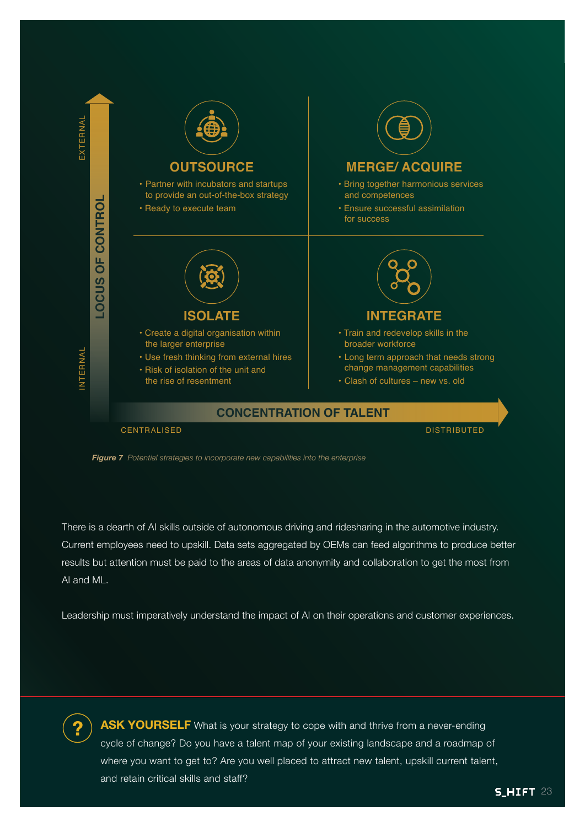

*Figure 7 Potential strategies to incorporate new capabilities into the enterprise*

There is a dearth of AI skills outside of autonomous driving and ridesharing in the automotive industry. Current employees need to upskill. Data sets aggregated by OEMs can feed algorithms to produce better results but attention must be paid to the areas of data anonymity and collaboration to get the most from AI and ML.

Leadership must imperatively understand the impact of AI on their operations and customer experiences.



**ASK YOURSELF** What is your strategy to cope with and thrive from a never-ending cycle of change? Do you have a talent map of your existing landscape and a roadmap of where you want to get to? Are you well placed to attract new talent, upskill current talent, and retain critical skills and staff?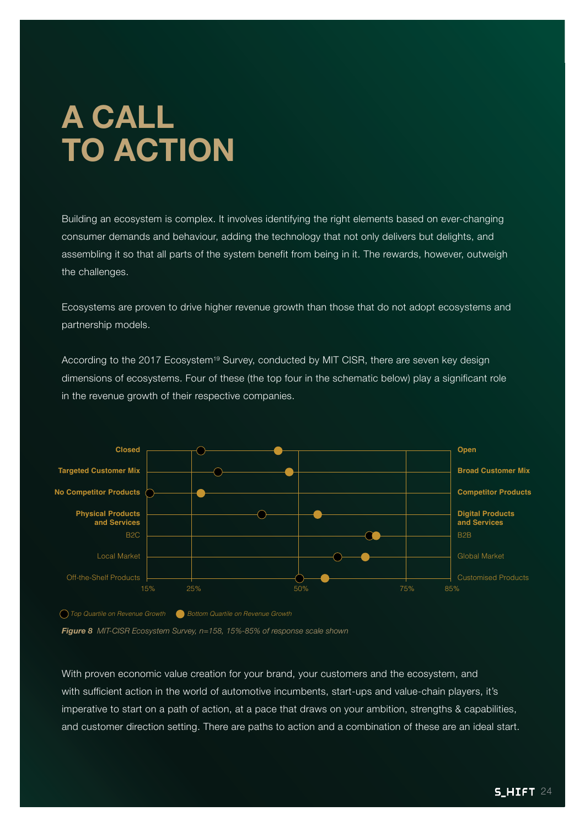# **A CALL TO ACTION**

Building an ecosystem is complex. It involves identifying the right elements based on ever-changing consumer demands and behaviour, adding the technology that not only delivers but delights, and assembling it so that all parts of the system benefit from being in it. The rewards, however, outweigh the challenges.

Ecosystems are proven to drive higher revenue growth than those that do not adopt ecosystems and partnership models.

According to the 2017 Ecosystem<sup>19</sup> Survey, conducted by MIT CISR, there are seven key design dimensions of ecosystems. Four of these (the top four in the schematic below) play a significant role in the revenue growth of their respective companies.



*Top Quartile on Revenue Growth Bottom Quartile on Revenue Growth*

*Figure 8 MIT-CISR Ecosystem Survey, n=158, 15%-85% of response scale shown*

With proven economic value creation for your brand, your customers and the ecosystem, and with sufficient action in the world of automotive incumbents, start-ups and value-chain players, it's imperative to start on a path of action, at a pace that draws on your ambition, strengths & capabilities, and customer direction setting. There are paths to action and a combination of these are an ideal start.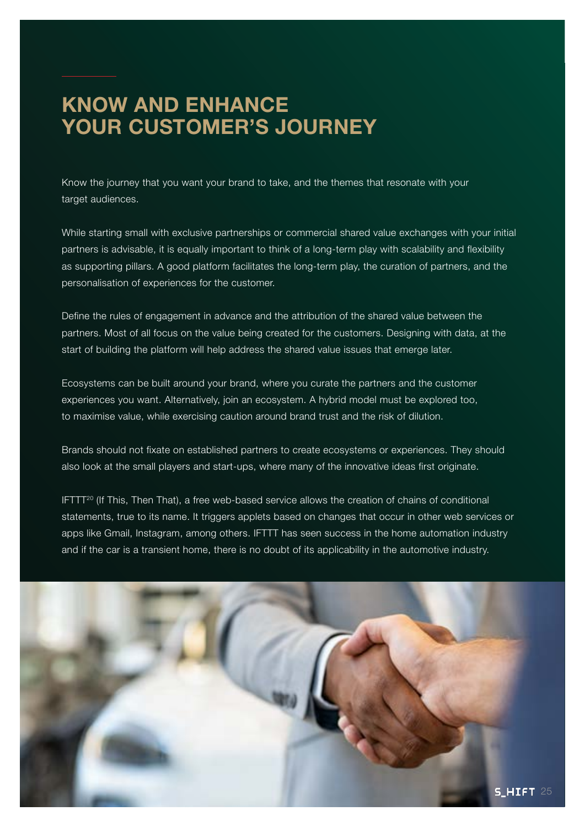## **KNOW AND ENHANCE YOUR CUSTOMER'S JOURNEY**

Know the journey that you want your brand to take, and the themes that resonate with your target audiences.

While starting small with exclusive partnerships or commercial shared value exchanges with your initial partners is advisable, it is equally important to think of a long-term play with scalability and flexibility as supporting pillars. A good platform facilitates the long-term play, the curation of partners, and the personalisation of experiences for the customer.

Define the rules of engagement in advance and the attribution of the shared value between the partners. Most of all focus on the value being created for the customers. Designing with data, at the start of building the platform will help address the shared value issues that emerge later.

Ecosystems can be built around your brand, where you curate the partners and the customer experiences you want. Alternatively, join an ecosystem. A hybrid model must be explored too, to maximise value, while exercising caution around brand trust and the risk of dilution.

Brands should not fixate on established partners to create ecosystems or experiences. They should also look at the small players and start-ups, where many of the innovative ideas first originate.

 $IFTT<sup>20</sup>$  (If This, Then That), a free web-based service allows the creation of chains of conditional statements, true to its name. It triggers applets based on changes that occur in other web services or apps like Gmail, Instagram, among others. IFTTT has seen success in the home automation industry and if the car is a transient home, there is no doubt of its applicability in the automotive industry.

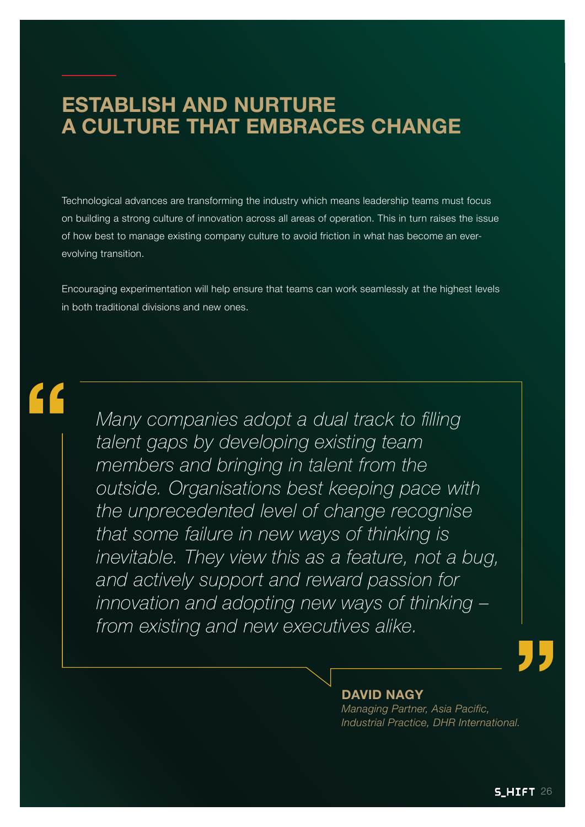## **ESTABLISH AND NURTURE A CULTURE THAT EMBRACES CHANGE**

Technological advances are transforming the industry which means leadership teams must focus on building a strong culture of innovation across all areas of operation. This in turn raises the issue of how best to manage existing company culture to avoid friction in what has become an everevolving transition.

Encouraging experimentation will help ensure that teams can work seamlessly at the highest levels in both traditional divisions and new ones.

# **"**

*Many companies adopt a dual track to filling talent gaps by developing existing team members and bringing in talent from the outside. Organisations best keeping pace with the unprecedented level of change recognise that some failure in new ways of thinking is inevitable. They view this as a feature, not a bug, and actively support and reward passion for innovation and adopting new ways of thinking – from existing and new executives alike.*

#### **DAVID NAGY**

*Managing Partner, Asia Pacific, Industrial Practice, DHR International.* **"**<br>"<br>"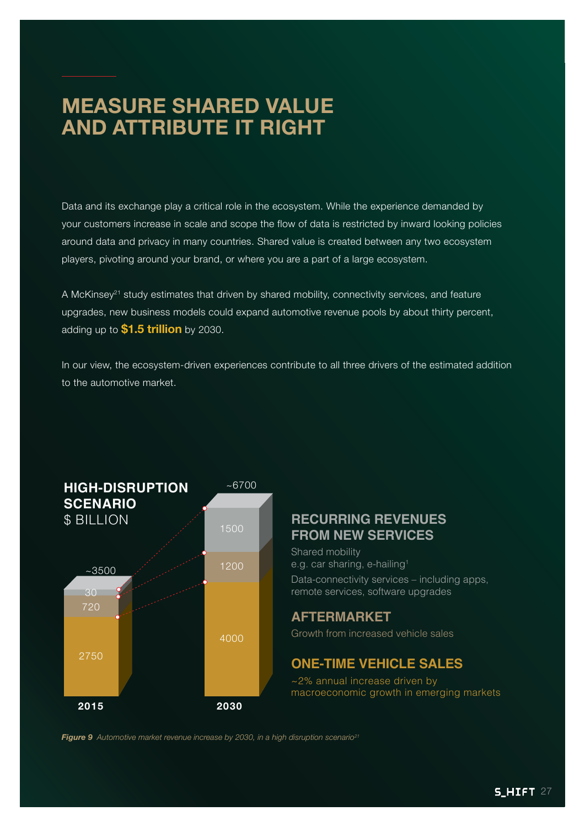## **MEASURE SHARED VALUE AND ATTRIBUTE IT RIGHT**

Data and its exchange play a critical role in the ecosystem. While the experience demanded by your customers increase in scale and scope the flow of data is restricted by inward looking policies around data and privacy in many countries. Shared value is created between any two ecosystem players, pivoting around your brand, or where you are a part of a large ecosystem.

A McKinsey<sup>21</sup> study estimates that driven by shared mobility, connectivity services, and feature upgrades, new business models could expand automotive revenue pools by about thirty percent, adding up to **\$1.5 trillion** by 2030.

In our view, the ecosystem-driven experiences contribute to all three drivers of the estimated addition to the automotive market.



#### **RECURRING REVENUES FROM NEW SERVICES**

Shared mobility e.g. car sharing, e-hailing<sup>1</sup> Data-connectivity services – including apps, remote services, software upgrades

#### **AFTERMARKET**

Growth from increased vehicle sales

#### **ONE-TIME VEHICLE SALES**

~2% annual increase driven by macroeconomic growth in emerging markets

*Figure 9 Automotive market revenue increase by 2030, in a high disruption scenario21*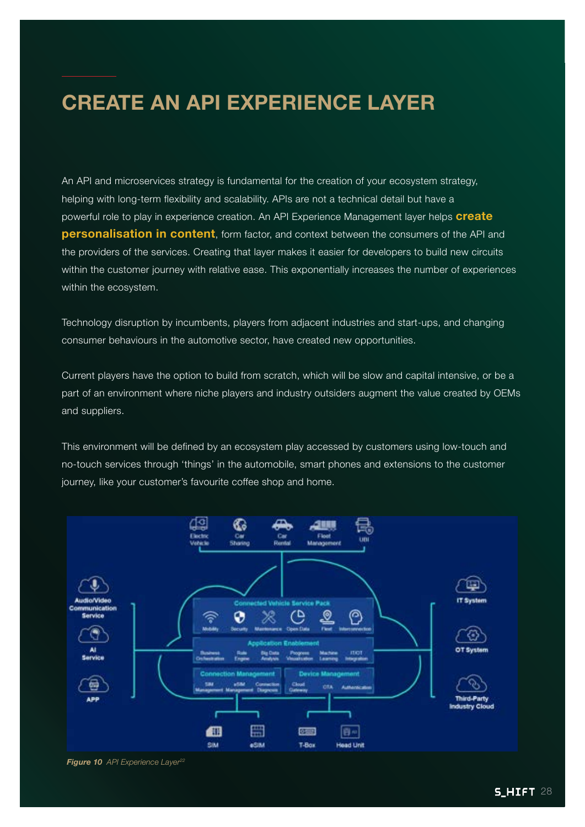## **CREATE AN API EXPERIENCE LAYER**

An API and microservices strategy is fundamental for the creation of your ecosystem strategy, helping with long-term flexibility and scalability. APIs are not a technical detail but have a powerful role to play in experience creation. An API Experience Management layer helps **create personalisation in content**, form factor, and context between the consumers of the API and the providers of the services. Creating that layer makes it easier for developers to build new circuits within the customer journey with relative ease. This exponentially increases the number of experiences within the ecosystem.

Technology disruption by incumbents, players from adjacent industries and start-ups, and changing consumer behaviours in the automotive sector, have created new opportunities.

Current players have the option to build from scratch, which will be slow and capital intensive, or be a part of an environment where niche players and industry outsiders augment the value created by OEMs and suppliers.

This environment will be defined by an ecosystem play accessed by customers using low-touch and no-touch services through 'things' in the automobile, smart phones and extensions to the customer journey, like your customer's favourite coffee shop and home.



*Figure 10 API Experience Layer22*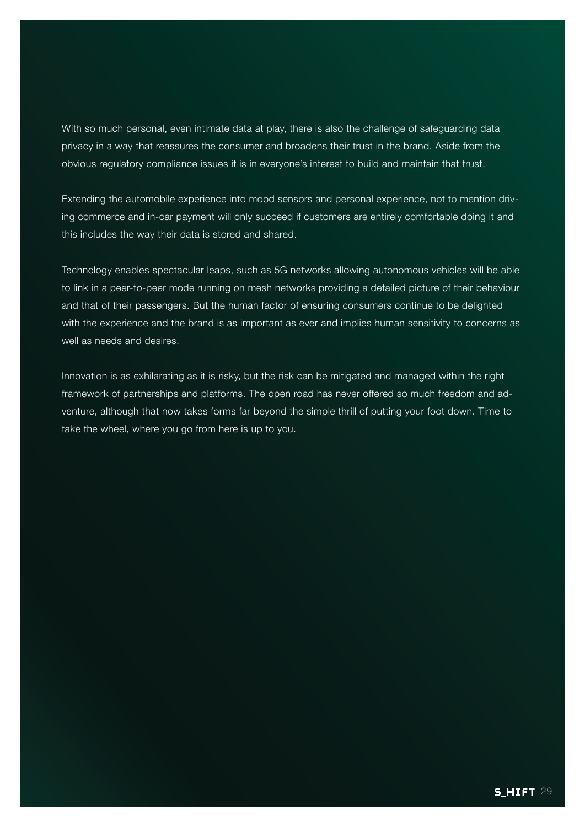With so much personal, even intimate data at play, there is also the challenge of safeguarding data privacy in a way that reassures the consumer and broadens their trust in the brand. Aside from the obvious regulatory compliance issues it is in everyone's interest to build and maintain that trust.

Extending the automobile experience into mood sensors and personal experience, not to mention driving commerce and in-car payment will only succeed if customers are entirely comfortable doing it and this includes the way their data is stored and shared.

Technology enables spectacular leaps, such as 5G networks allowing autonomous vehicles will be able to link in a peer-to-peer mode running on mesh networks providing a detailed picture of their behaviour and that of their passengers. But the human factor of ensuring consumers continue to be delighted with the experience and the brand is as important as ever and implies human sensitivity to concerns as well as needs and desires.

Innovation is as exhilarating as it is risky, but the risk can be mitigated and managed within the right framework of partnerships and platforms. The open road has never offered so much freedom and adventure, although that now takes forms far beyond the simple thrill of putting your foot down. Time to take the wheel, where you go from here is up to you.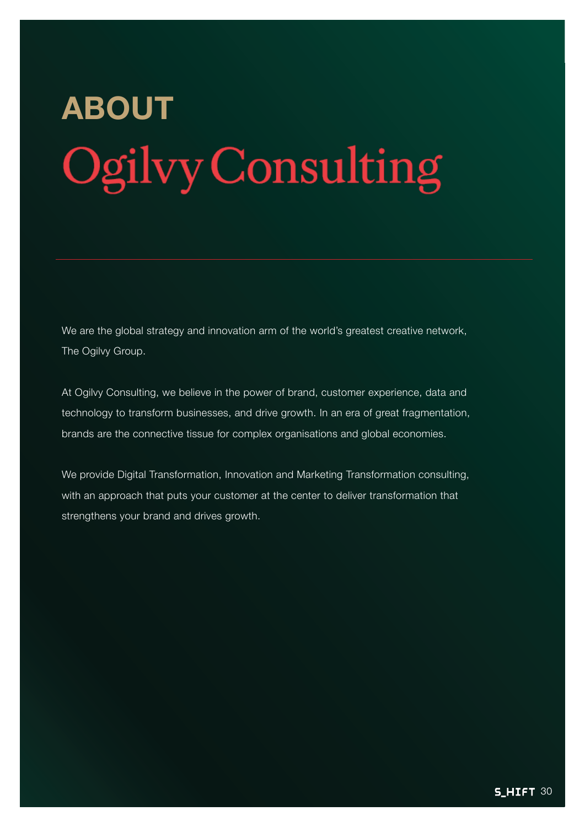# **ABOUT** Ogilvy Consulting

We are the global strategy and innovation arm of the world's greatest creative network, The Ogilvy Group.

At Ogilvy Consulting, we believe in the power of brand, customer experience, data and technology to transform businesses, and drive growth. In an era of great fragmentation, brands are the connective tissue for complex organisations and global economies.

We provide Digital Transformation, Innovation and Marketing Transformation consulting, with an approach that puts your customer at the center to deliver transformation that strengthens your brand and drives growth.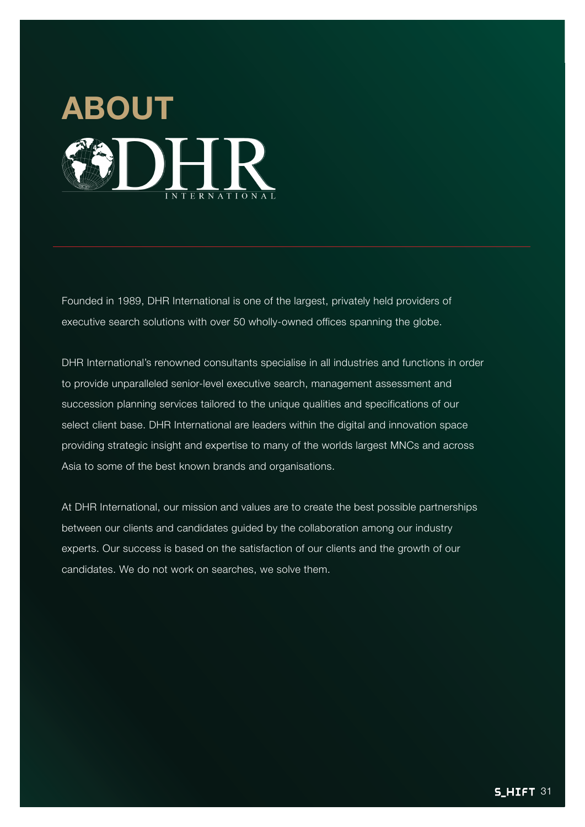

Founded in 1989, DHR International is one of the largest, privately held providers of executive search solutions with over 50 wholly-owned offices spanning the globe.

DHR International's renowned consultants specialise in all industries and functions in order to provide unparalleled senior-level executive search, management assessment and succession planning services tailored to the unique qualities and specifications of our select client base. DHR International are leaders within the digital and innovation space providing strategic insight and expertise to many of the worlds largest MNCs and across Asia to some of the best known brands and organisations.

At DHR International, our mission and values are to create the best possible partnerships between our clients and candidates guided by the collaboration among our industry experts. Our success is based on the satisfaction of our clients and the growth of our candidates. We do not work on searches, we solve them.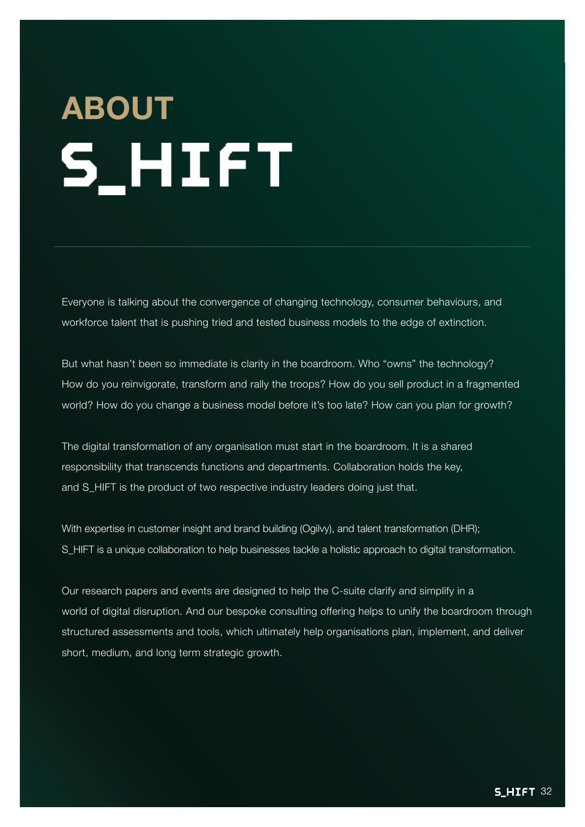# **ABOUT S\_HIFT**

Everyone is talking about the convergence of changing technology, consumer behaviours, and workforce talent that is pushing tried and tested business models to the edge of extinction.

But what hasn't been so immediate is clarity in the boardroom. Who "owns" the technology? How do you reinvigorate, transform and rally the troops? How do you sell product in a fragmented world? How do you change a business model before it's too late? How can you plan for growth?

The digital transformation of any organisation must start in the boardroom. It is a shared responsibility that transcends functions and departments. Collaboration holds the key, and S\_HIFT is the product of two respective industry leaders doing just that.

With expertise in customer insight and brand building (Ogilvy), and talent transformation (DHR); S\_HIFT is a unique collaboration to help businesses tackle a holistic approach to digital transformation.

Our research papers and events are designed to help the C-suite clarify and simplify in a world of digital disruption. And our bespoke consulting offering helps to unify the boardroom through structured assessments and tools, which ultimately help organisations plan, implement, and deliver short, medium, and long term strategic growth.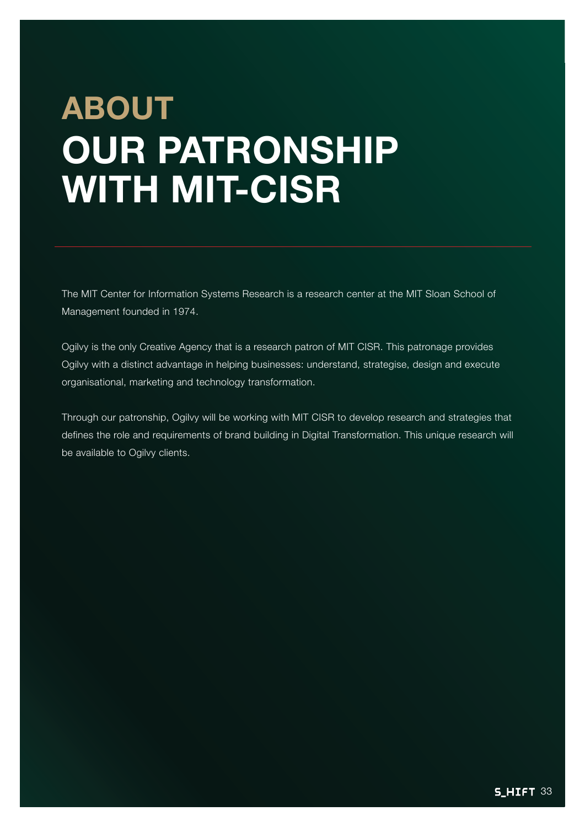# **ABOUT OUR PATRONSHIP WITH MIT-CISR**

The MIT Center for Information Systems Research is a research center at the MIT Sloan School of Management founded in 1974.

Ogilvy is the only Creative Agency that is a research patron of MIT CISR. This patronage provides Ogilvy with a distinct advantage in helping businesses: understand, strategise, design and execute organisational, marketing and technology transformation.

Through our patronship, Ogilvy will be working with MIT CISR to develop research and strategies that defines the role and requirements of brand building in Digital Transformation. This unique research will be available to Ogilvy clients.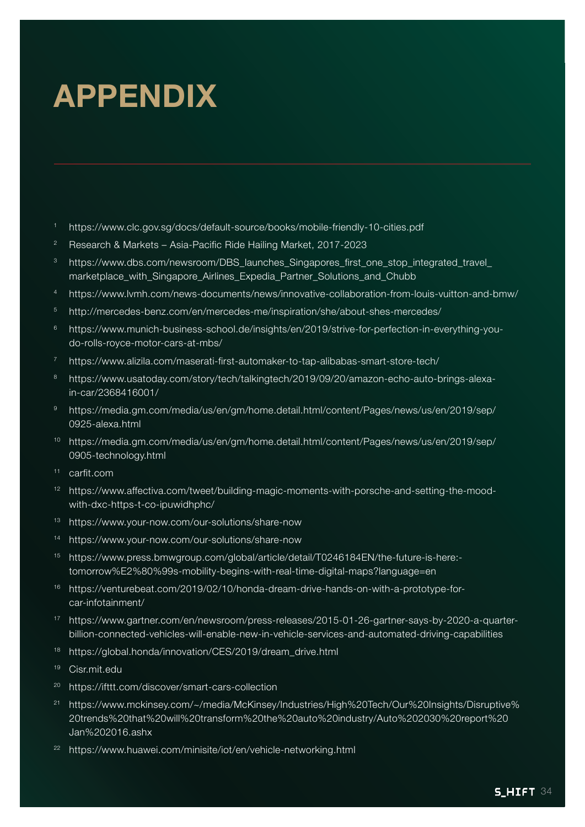# **APPENDIX**

- <sup>1</sup> https://www.clc.gov.sg/docs/default-source/books/mobile-friendly-10-cities.pdf
- <sup>2</sup> Research & Markets Asia-Pacific Ride Hailing Market, 2017-2023
- <sup>3</sup> https://www.dbs.com/newsroom/DBS\_launches\_Singapores\_first\_one\_stop\_integrated\_travel\_ marketplace\_with\_Singapore\_Airlines\_Expedia\_Partner\_Solutions\_and\_Chubb
- <sup>4</sup> https://www.lvmh.com/news-documents/news/innovative-collaboration-from-louis-vuitton-and-bmw/
- <sup>5</sup> http://mercedes-benz.com/en/mercedes-me/inspiration/she/about-shes-mercedes/
- <sup>6</sup> https://www.munich-business-school.de/insights/en/2019/strive-for-perfection-in-everything-youdo-rolls-royce-motor-cars-at-mbs/
- <sup>7</sup> https://www.alizila.com/maserati-first-automaker-to-tap-alibabas-smart-store-tech/
- <sup>8</sup> https://www.usatoday.com/story/tech/talkingtech/2019/09/20/amazon-echo-auto-brings-alexain-car/2368416001/
- <sup>9</sup> https://media.gm.com/media/us/en/gm/home.detail.html/content/Pages/news/us/en/2019/sep/ 0925-alexa.html
- <sup>10</sup> https://media.gm.com/media/us/en/gm/home.detail.html/content/Pages/news/us/en/2019/sep/ 0905-technology.html
- <sup>11</sup> carfit.com
- <sup>12</sup> https://www.affectiva.com/tweet/building-magic-moments-with-porsche-and-setting-the-moodwith-dxc-https-t-co-ipuwidhphc/
- <sup>13</sup> https://www.your-now.com/our-solutions/share-now
- <sup>14</sup> https://www.your-now.com/our-solutions/share-now
- <sup>15</sup> https://www.press.bmwgroup.com/global/article/detail/T0246184EN/the-future-is-here: tomorrow%E2%80%99s-mobility-begins-with-real-time-digital-maps?language=en
- <sup>16</sup> https://venturebeat.com/2019/02/10/honda-dream-drive-hands-on-with-a-prototype-forcar-infotainment/
- <sup>17</sup> https://www.gartner.com/en/newsroom/press-releases/2015-01-26-gartner-says-by-2020-a-quarterbillion-connected-vehicles-will-enable-new-in-vehicle-services-and-automated-driving-capabilities
- <sup>18</sup> https://global.honda/innovation/CES/2019/dream\_drive.html
- <sup>19</sup> Cisr.mit.edu
- <sup>20</sup> https://ifttt.com/discover/smart-cars-collection
- <sup>21</sup> https://www.mckinsey.com/~/media/McKinsey/Industries/High%20Tech/Our%20Insights/Disruptive% 20trends%20that%20will%20transform%20the%20auto%20industry/Auto%202030%20report%20 Jan%202016.ashx
- <sup>22</sup> https://www.huawei.com/minisite/iot/en/vehicle-networking.html